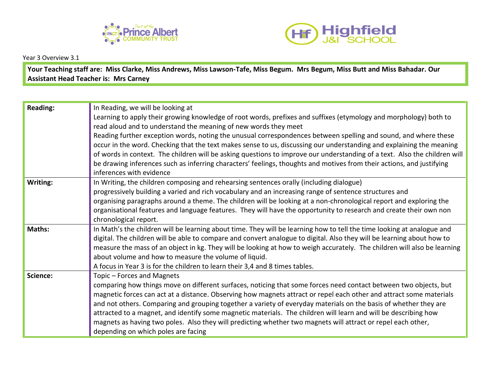



Year 3 Overview 3.1

**Your Teaching staff are: Miss Clarke, Miss Andrews, Miss Lawson-Tafe, Miss Begum. Mrs Begum, Miss Butt and Miss Bahadar. Our Assistant Head Teacher is: Mrs Carney**

| <b>Reading:</b> | In Reading, we will be looking at                                                                                         |
|-----------------|---------------------------------------------------------------------------------------------------------------------------|
|                 | Learning to apply their growing knowledge of root words, prefixes and suffixes (etymology and morphology) both to         |
|                 | read aloud and to understand the meaning of new words they meet                                                           |
|                 | Reading further exception words, noting the unusual correspondences between spelling and sound, and where these           |
|                 | occur in the word. Checking that the text makes sense to us, discussing our understanding and explaining the meaning      |
|                 | of words in context. The children will be asking questions to improve our understanding of a text. Also the children will |
|                 | be drawing inferences such as inferring characters' feelings, thoughts and motives from their actions, and justifying     |
|                 | inferences with evidence                                                                                                  |
| Writing:        | In Writing, the children composing and rehearsing sentences orally (including dialogue)                                   |
|                 | progressively building a varied and rich vocabulary and an increasing range of sentence structures and                    |
|                 | organising paragraphs around a theme. The children will be looking at a non-chronological report and exploring the        |
|                 | organisational features and language features. They will have the opportunity to research and create their own non        |
|                 | chronological report.                                                                                                     |
| Maths:          | In Math's the children will be learning about time. They will be learning how to tell the time looking at analogue and    |
|                 | digital. The children will be able to compare and convert analogue to digital. Also they will be learning about how to    |
|                 | measure the mass of an object in kg. They will be looking at how to weigh accurately. The children will also be learning  |
|                 | about volume and how to measure the volume of liquid.                                                                     |
|                 | A focus in Year 3 is for the children to learn their 3,4 and 8 times tables.                                              |
| Science:        | Topic - Forces and Magnets                                                                                                |
|                 | comparing how things move on different surfaces, noticing that some forces need contact between two objects, but          |
|                 | magnetic forces can act at a distance. Observing how magnets attract or repel each other and attract some materials       |
|                 | and not others. Comparing and grouping together a variety of everyday materials on the basis of whether they are          |
|                 | attracted to a magnet, and identify some magnetic materials. The children will learn and will be describing how           |
|                 | magnets as having two poles. Also they will predicting whether two magnets will attract or repel each other,              |
|                 | depending on which poles are facing                                                                                       |